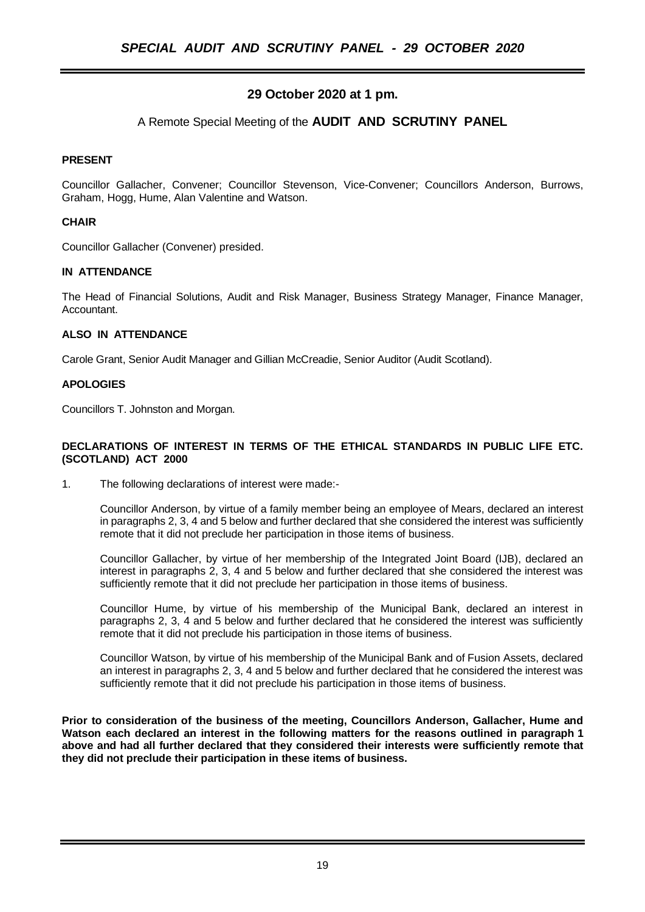# **29 October 2020 at 1 pm.**

## A Remote Special Meeting of the **AUDIT AND SCRUTINY PANEL**

#### **PRESENT**

Councillor Gallacher, Convener; Councillor Stevenson, Vice-Convener; Councillors Anderson, Burrows, Graham, Hogg, Hume, Alan Valentine and Watson.

#### **CHAIR**

Councillor Gallacher (Convener) presided.

#### **IN ATTENDANCE**

The Head of Financial Solutions, Audit and Risk Manager, Business Strategy Manager, Finance Manager, Accountant.

#### **ALSO IN ATTENDANCE**

Carole Grant, Senior Audit Manager and Gillian McCreadie, Senior Auditor (Audit Scotland).

#### **APOLOGIES**

Councillors T. Johnston and Morgan.

#### **DECLARATIONS OF INTEREST IN TERMS OF THE ETHICAL STANDARDS IN PUBLIC LIFE ETC. (SCOTLAND) ACT 2000**

1. The following declarations of interest were made:-

Councillor Anderson, by virtue of a family member being an employee of Mears, declared an interest in paragraphs 2, 3, 4 and 5 below and further declared that she considered the interest was sufficiently remote that it did not preclude her participation in those items of business.

Councillor Gallacher, by virtue of her membership of the Integrated Joint Board (IJB), declared an interest in paragraphs 2, 3, 4 and 5 below and further declared that she considered the interest was sufficiently remote that it did not preclude her participation in those items of business.

Councillor Hume, by virtue of his membership of the Municipal Bank, declared an interest in paragraphs 2, 3, 4 and 5 below and further declared that he considered the interest was sufficiently remote that it did not preclude his participation in those items of business.

Councillor Watson, by virtue of his membership of the Municipal Bank and of Fusion Assets, declared an interest in paragraphs 2, 3, 4 and 5 below and further declared that he considered the interest was sufficiently remote that it did not preclude his participation in those items of business.

**Prior to consideration of the business of the meeting, Councillors Anderson, Gallacher, Hume and Watson each declared an interest in the following matters for the reasons outlined in paragraph 1 above and had all further declared that they considered their interests were sufficiently remote that they did not preclude their participation in these items of business.**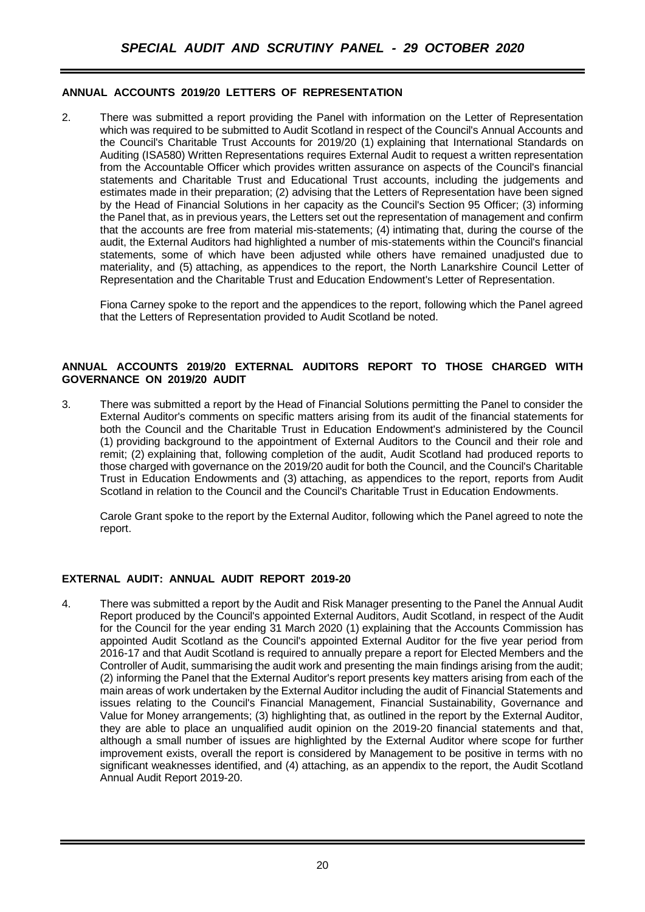### **ANNUAL ACCOUNTS 2019/20 LETTERS OF REPRESENTATION**

2. There was submitted a report providing the Panel with information on the Letter of Representation which was required to be submitted to Audit Scotland in respect of the Council's Annual Accounts and the Council's Charitable Trust Accounts for 2019/20 (1) explaining that International Standards on Auditing (ISA580) Written Representations requires External Audit to request a written representation from the Accountable Officer which provides written assurance on aspects of the Council's financial statements and Charitable Trust and Educational Trust accounts, including the judgements and estimates made in their preparation; (2) advising that the Letters of Representation have been signed by the Head of Financial Solutions in her capacity as the Council's Section 95 Officer; (3) informing the Panel that, as in previous years, the Letters set out the representation of management and confirm that the accounts are free from material mis-statements; (4) intimating that, during the course of the audit, the External Auditors had highlighted a number of mis-statements within the Council's financial statements, some of which have been adjusted while others have remained unadjusted due to materiality, and (5) attaching, as appendices to the report, the North Lanarkshire Council Letter of Representation and the Charitable Trust and Education Endowment's Letter of Representation.

Fiona Carney spoke to the report and the appendices to the report, following which the Panel agreed that the Letters of Representation provided to Audit Scotland be noted.

#### **ANNUAL ACCOUNTS 2019/20 EXTERNAL AUDITORS REPORT TO THOSE CHARGED WITH GOVERNANCE ON 2019/20 AUDIT**

3. There was submitted a report by the Head of Financial Solutions permitting the Panel to consider the External Auditor's comments on specific matters arising from its audit of the financial statements for both the Council and the Charitable Trust in Education Endowment's administered by the Council (1) providing background to the appointment of External Auditors to the Council and their role and remit; (2) explaining that, following completion of the audit, Audit Scotland had produced reports to those charged with governance on the 2019/20 audit for both the Council, and the Council's Charitable Trust in Education Endowments and (3) attaching, as appendices to the report, reports from Audit Scotland in relation to the Council and the Council's Charitable Trust in Education Endowments.

Carole Grant spoke to the report by the External Auditor, following which the Panel agreed to note the report.

#### **EXTERNAL AUDIT: ANNUAL AUDIT REPORT 2019-20**

4. There was submitted a report by the Audit and Risk Manager presenting to the Panel the Annual Audit Report produced by the Council's appointed External Auditors, Audit Scotland, in respect of the Audit for the Council for the year ending 31 March 2020 (1) explaining that the Accounts Commission has appointed Audit Scotland as the Council's appointed External Auditor for the five year period from 2016-17 and that Audit Scotland is required to annually prepare a report for Elected Members and the Controller of Audit, summarising the audit work and presenting the main findings arising from the audit; (2) informing the Panel that the External Auditor's report presents key matters arising from each of the main areas of work undertaken by the External Auditor including the audit of Financial Statements and issues relating to the Council's Financial Management, Financial Sustainability, Governance and Value for Money arrangements; (3) highlighting that, as outlined in the report by the External Auditor, they are able to place an unqualified audit opinion on the 2019-20 financial statements and that, although a small number of issues are highlighted by the External Auditor where scope for further improvement exists, overall the report is considered by Management to be positive in terms with no significant weaknesses identified, and (4) attaching, as an appendix to the report, the Audit Scotland Annual Audit Report 2019-20.